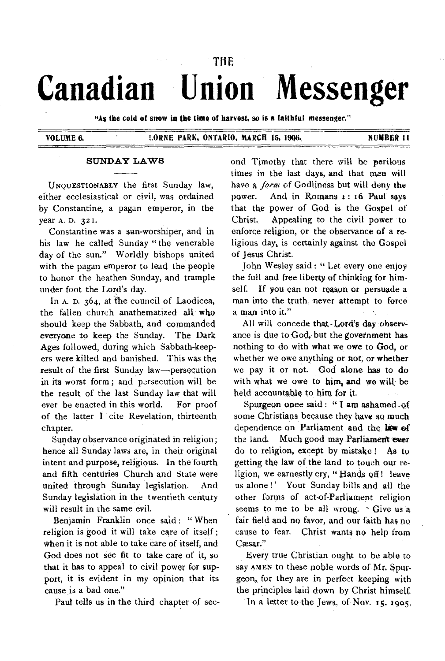## THE

# **Canadian Union Messenger**

**"As the cold of snow in the time of harvest, so is a faithful messenger."** 

## **VOLUME 6. LORNE PARK, ONTARIO, MARCH 15, 1906, NUMBER I I**

## **SUNDAY LAWS**

UNOUESTIONABLY the first Sunday law, either ecclesiastical or civil, was ordained by Constantine, a pagan emperor, in the year A. D. 321.

Constantine was a sun-worshiper, and in his law he called Sunday " the venerable day of the sun." Worldly bishops united with the pagan emperor to lead the people to honor the heathen Sunday, and trample under foot the Lord's day.

In A. D. 364, at the council of Laodicea, the fallen church anathematized all who should keep the Sabbath, and commanded everyone to keep the Sunday. The Dark Ages followed, during which Sabbath-keepers were killed and banished. 'This was the result of the first Sunday law—persecution in its worst form; and persecution will be the result of the last Sunday law that will ever be enacted in this world. For proof of the latter I cite Revelation, thirteenth chapter.

Sunday observance originated in religion; hence all Sunday laws are, in their original intent and purpose, religious. In the fourth and fifth centuries Church and State were united through Sunday legislation. And Sunday legislation in the twentieth century will result in the same evil.

Benjamin Franklin once said: "When religion is good it will take care of itself ; when it is not able to take care of itself, and God does not see fit to take care of it, so that it has to appeal to civil power for support, it is evident in my opinion that its cause is a bad one."

Paul tells us in the third chapter of sec-

ond Timothy that there will be perilous times in the last days, and that men will have a *form of* Godliness but will deny the power. And in Romans 1: 16 Paul says that the power of God is the Gospel of Christ. Appealing to the civil power to enforce religion, or the observance of a religious day, is certainly against the Gospel of Jesus Christ.

John Wesley said : "Let every one enjoy the full and free liberty of thinking for himself. If you can not reason or persuade a man into the truth, never attempt to force a man into it."

All will concede that-Lord's day observance is due to  $God$ , but the government has nothing to do with what we owe to God, or whether we owe anything or not, or whether we pay it or not. God alone has to do with what we owe to him, and we will be held accountable to him for it.

Spurgeon once said : " I am ashamed -of some Christians because they have so much dependence on Parliament and the *lam of*  the land. Much good may Parliament **ever**  do to religion, except by mistake ! As to getting **the** law of the land to touch our religion, we earnestly cry, " Hands off ! leave us alone!' Your Sunday bills and all the other forms of act-of-Parliament religion seems to me to be all wrong. - Give us a fair field and no favor, and our faith has no cause to fear. Christ wants no help from Caesar."

Every true Christian ought to be able to say AMEN to these noble words of Mr. Spurgeon, for they are in perfect keeping with the principles laid down by Christ himself.

In a letter to the Jews, of Nov. 15, 1905,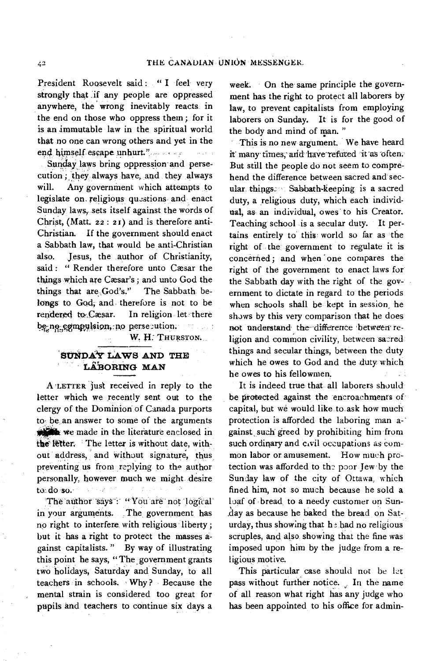President Roosevelt said : " I feel very strongly that if any people are oppressed anywhere, the wrong inevitably reacts in the end on those who oppress them ; for it is an immutable law in the spiritual world that no one can wrong others and yet in the end himself escape unhurt."

Sunday laws bring oppression and persecution ; they always have, and they always will. Any government which attempts to legislate on religious questions and enact Sunday laws, sets itself against the words of Christ, (Matt. 22: 21) and is therefore anti-Christian. If the government should enact a Sabbath law, that would be anti-Christian also. Jesus, the author of Christianity, said : " Render therefore unto Cæsar the things which are Cæsar's; and unto God the things that are God's." The Sabbath belongs to God, and therefore is not to be rendered to Cæsar. In religion let there be-no-compulsion, no persecution.

**W. H. THURSTON.** 

## SUNDA<sup>Y</sup> LAWS AND THE L**ABORING MAN**

A **LETTER** just received in reply to the letter which we recently sent out to the clergy of the Dominion of Canada purports to be an answer to some of the arguments we made in the literature enclosed in the letter. The letter is without date, without address, and without signature, thus preventing us from replying to the author personally. however much we might desire to do so.

The author says : "You are not logical in your arguments. The government has no right to interfere with religious liberty ; but it has a right to protect the masses against capitalists. " By way of illustrating this point he says, " The government grants two holidays, Saturday and Sunday, to all teachers in schools. Why ? Because the mental strain is considered too great for pupils and teachers to continue six days a

week. On the same principle the government has the right to protect all laborers by law, to prevent capitalists from employing laborers on Sunday. It is for the good of the body and mind of man."

This is no new argument. We have heard it many times, and have refuted it as often. But still the people do not seem to comprehend the difference between sacred and secular. things. Sabbath-keeping is a sacred duty, a religious duty, which each individual, as an individual, owes to his Creator. Teaching school is a secular duty. It pertains entirely to this world so far as the right of the government to regulate it is concerned; and when 'one compares the right of the government to enact laws for the Sabbath day with the right of the government to dictate in regard to the periods when schools shall be kept in session, he shows by this very comparison that he does not understand the difference between religion and common civility, between sacred things and secular things, between the duty which he owes to God and the duty which he owes to his fellowmen.

It is indeed true that all laborers should be protected against the encroachments of capital, but we would like to ask how much protection is afforded the laboring man against, such greed by prohibiting him from such ordinary and civil occupations as common labor or amusement. How much protection was afforded to the poor Jew by the Sunday law of the city of Ottawa, which fined him, not so much because he sold a loaf of bread, to a needy customer on Sun- .day as because he baked the bread on Saturday, thus showing that  $h_1$ <sup>2</sup> had no religious scruples, and, also showing that the fine was imposed upon him by the judge from a religious motive.

This particular case should not be let pass without further notice. In the name of all reason what right has any judge who has been appointed to his office for admin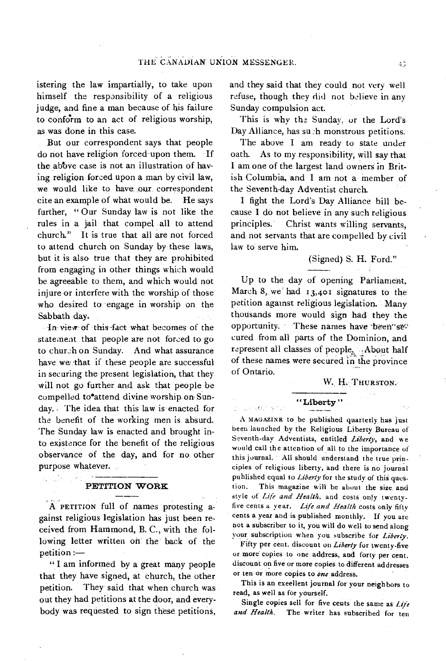istering the law impartially, to take upon himself the responsibility of a religious judge, and fine a man because of his failure to conform to an act of religious worship, as was done in this case.

But our correspondent says that people do not have religion forced- upon them. If the above case is not an illustration of having religion forced upon a man by civil law, we would like to have. our correspondent cite an example of what would be. He says further, " Our Sunday law is not like the rules in a jail that compel all to attend church." It is true that all are not forced to attend church on Sunday by these laws, but it is also true that they are prohibited from engaging in other things which would be agreeable to them, and which would not injure or interfere with the worship of those who desired to engage in worship on the Sabbath day.

In• view-of this-fact what becomes of the statement that people are not forced to go to church on Sunday. And what assurance have we that if these people are successful in securing the present legislation, that they will not go further and ask that people be compelled to<sup>o</sup>attend divine worship on Sunday. The idea that this law is enacted for the benefit of the working men is absurd. The Sunday law is enacted and brought into existence for the benefit of the religious observance of the day, and for no other purpose whatever.

### **PETITION WORK**

A PETITION full of names protesting against religious legislation has just been received from Hammond, B. C., with the following letter written on' the back of the petition :—

" I am informed by a great many people that they have signed, at church, the other petition. They said that when church was out they had petitions at the door, and everybody was requested to sign these petitions,

and they said that they could not very well refuse, though they did not believe in any Sunday compulsion act.

This is why the Sunday, or the Lord's Day Alliance, has such monstrous petitions.

The above I am ready to state under oath. As to my responsibility, will say that I am one of the largest land owners in British Columbia, and I am not a member of the Seventh-day Adventist church.

I fight the Lord's Day Alliance bill because I do not believe in any such religious principles. Christ wants willing servants, and not servants that are compelled by civil law to serve him.

## (Signed) S. H. Ford."

Up to the day of opening Parliament, March 8, we had 13,401 signatures to the petition against religious legislation. Many thousands more would sign had: they the opportunity. These names have been 'se cured from all parts of the Dominion, and represent all classes of people, About half of these names were secured in the province of Ontario.

## W. H. THURSTON.

## **" Liberty "**

province a ca

A MAGAZINE to be published quarterly has just been launched by the Religious Liberty Bureau of Seventh-day Adventists, entitled *Liberty,* and we would call the attention of all to the importance of this journal. All should understand the true principles of religious liberty, and there is no journal published' equal to *Liberty* for the study of this question. This magazine will be about the size and style of *Life and Health,* and costs only twentyfive cents a year. *Life and Health* costs only fifty cents a year and is published monthly. If you are not **a** subscriber to it, you will do well to send along your subscription when you subscribe for *Liberty.* 

Fifty per cent. discount on *Liberty* for twenty-five or more copies to one address, and forty per cent. discount on five or more copies to different addresses or ten or more copies to one address.

This is an exeellent journal for your neighbors to read, as well as for yourself.

Single copies sell for five cents the same as *Life* and *Health*. The writer has subscribed for ten The writer has subscribed for ten